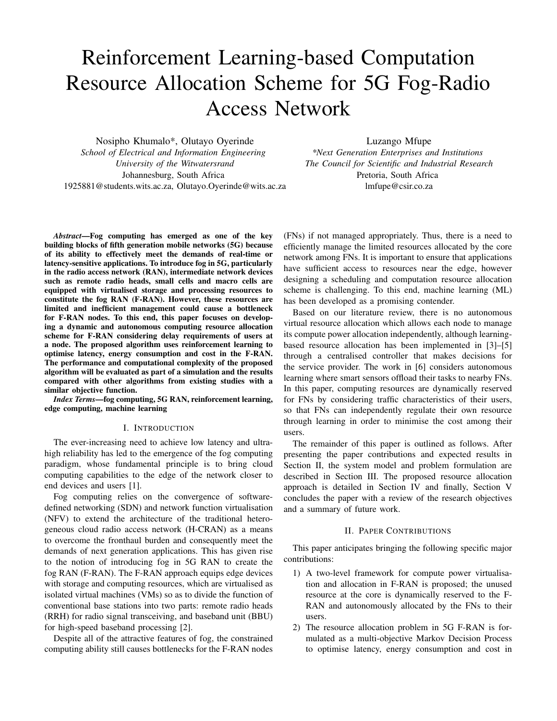# Reinforcement Learning-based Computation Resource Allocation Scheme for 5G Fog-Radio Access Network

Nosipho Khumalo\*, Olutayo Oyerinde *School of Electrical and Information Engineering University of the Witwatersrand* Johannesburg, South Africa 1925881@students.wits.ac.za, Olutayo.Oyerinde@wits.ac.za Luzango Mfupe

*\*Next Generation Enterprises and Institutions The Council for Scientific and Industrial Research* Pretoria, South Africa lmfupe@csir.co.za

*Abstract*—Fog computing has emerged as one of the key building blocks of fifth generation mobile networks (5G) because of its ability to effectively meet the demands of real-time or latency-sensitive applications. To introduce fog in 5G, particularly in the radio access network (RAN), intermediate network devices such as remote radio heads, small cells and macro cells are equipped with virtualised storage and processing resources to constitute the fog RAN (F-RAN). However, these resources are limited and inefficient management could cause a bottleneck for F-RAN nodes. To this end, this paper focuses on developing a dynamic and autonomous computing resource allocation scheme for F-RAN considering delay requirements of users at a node. The proposed algorithm uses reinforcement learning to optimise latency, energy consumption and cost in the F-RAN. The performance and computational complexity of the proposed algorithm will be evaluated as part of a simulation and the results compared with other algorithms from existing studies with a similar objective function.

*Index Terms*—fog computing, 5G RAN, reinforcement learning, edge computing, machine learning

## I. INTRODUCTION

The ever-increasing need to achieve low latency and ultrahigh reliability has led to the emergence of the fog computing paradigm, whose fundamental principle is to bring cloud computing capabilities to the edge of the network closer to end devices and users [1].

Fog computing relies on the convergence of softwaredefined networking (SDN) and network function virtualisation (NFV) to extend the architecture of the traditional heterogeneous cloud radio access network (H-CRAN) as a means to overcome the fronthaul burden and consequently meet the demands of next generation applications. This has given rise to the notion of introducing fog in 5G RAN to create the fog RAN (F-RAN). The F-RAN approach equips edge devices with storage and computing resources, which are virtualised as isolated virtual machines (VMs) so as to divide the function of conventional base stations into two parts: remote radio heads (RRH) for radio signal transceiving, and baseband unit (BBU) for high-speed baseband processing [2].

Despite all of the attractive features of fog, the constrained computing ability still causes bottlenecks for the F-RAN nodes

(FNs) if not managed appropriately. Thus, there is a need to efficiently manage the limited resources allocated by the core network among FNs. It is important to ensure that applications have sufficient access to resources near the edge, however designing a scheduling and computation resource allocation scheme is challenging. To this end, machine learning (ML) has been developed as a promising contender.

Based on our literature review, there is no autonomous virtual resource allocation which allows each node to manage its compute power allocation independently, although learningbased resource allocation has been implemented in [3]–[5] through a centralised controller that makes decisions for the service provider. The work in [6] considers autonomous learning where smart sensors offload their tasks to nearby FNs. In this paper, computing resources are dynamically reserved for FNs by considering traffic characteristics of their users, so that FNs can independently regulate their own resource through learning in order to minimise the cost among their users.

The remainder of this paper is outlined as follows. After presenting the paper contributions and expected results in Section II, the system model and problem formulation are described in Section III. The proposed resource allocation approach is detailed in Section IV and finally, Section V concludes the paper with a review of the research objectives and a summary of future work.

# II. PAPER CONTRIBUTIONS

This paper anticipates bringing the following specific major contributions:

- 1) A two-level framework for compute power virtualisation and allocation in F-RAN is proposed; the unused resource at the core is dynamically reserved to the F-RAN and autonomously allocated by the FNs to their users.
- 2) The resource allocation problem in 5G F-RAN is formulated as a multi-objective Markov Decision Process to optimise latency, energy consumption and cost in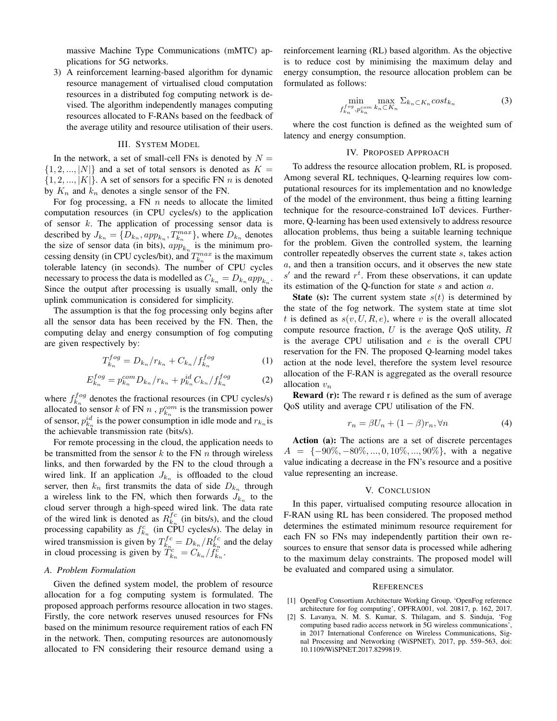massive Machine Type Communications (mMTC) applications for 5G networks.

3) A reinforcement learning-based algorithm for dynamic resource management of virtualised cloud computation resources in a distributed fog computing network is devised. The algorithm independently manages computing resources allocated to F-RANs based on the feedback of the average utility and resource utilisation of their users.

# III. SYSTEM MODEL

In the network, a set of small-cell FNs is denoted by  $N =$  $\{1, 2, ..., |N|\}$  and a set of total sensors is denoted as  $K =$  $\{1, 2, ..., |K|\}$ . A set of sensors for a specific FN n is denoted by  $K_n$  and  $k_n$  denotes a single sensor of the FN.

For fog processing, a FN  $n$  needs to allocate the limited computation resources (in CPU cycles/s) to the application of sensor  $k$ . The application of processing sensor data is described by  $J_{k_n} = \{D_{k_n}, app_{k_n}, T_{k_n}^{max}\}$ , where  $D_{k_n}$  denotes the size of sensor data (in bits),  $app_{k_n}$  is the minimum processing density (in CPU cycles/bit), and  $T_{k_n}^{max}$  is the maximum tolerable latency (in seconds). The number of CPU cycles necessary to process the data is modelled as  $C_{k_n} = D_{k_n} app_{k_n}$ . Since the output after processing is usually small, only the uplink communication is considered for simplicity.

The assumption is that the fog processing only begins after all the sensor data has been received by the FN. Then, the computing delay and energy consumption of fog computing are given respectively by:

$$
T_{k_n}^{fog} = D_{k_n}/r_{k_n} + C_{k_n}/f_{k_n}^{fog}
$$
 (1)

$$
E_{k_n}^{fog} = p_{k_n}^{com} D_{k_n} / r_{k_n} + p_{k_n}^{id} C_{k_n} / f_{k_n}^{fog}
$$
 (2)

where  $f_{k_n}^{fog}$  denotes the fractional resources (in CPU cycles/s) allocated to sensor k of FN n,  $p_{k_n}^{com}$  is the transmission power of sensor,  $p_{k_n}^{id}$  is the power consumption in idle mode and  $r_{k_n}$  is the achievable transmission rate (bits/s).

For remote processing in the cloud, the application needs to be transmitted from the sensor  $k$  to the FN  $n$  through wireless links, and then forwarded by the FN to the cloud through a wired link. If an application  $J_{k_n}$  is offloaded to the cloud server, then  $k_n$  first transmits the data of side  $D_{k_n}$  through a wireless link to the FN, which then forwards  $J_{k_n}$  to the cloud server through a high-speed wired link. The data rate of the wired link is denoted as  $R_{k_n}^{f_c}$  (in bits/s), and the cloud processing capability as  $f_{k_n}^c$  (in CPU cycles/s). The delay in wired transmission is given by  $T_{k_n}^{fc} = D_{k_n}/R_{k_n}^{fc}$  and the delay in cloud processing is given by  $\ddot{T}_{k_n}^c = C_{k_n}/f_{k_n}^c$ .

### *A. Problem Formulation*

Given the defined system model, the problem of resource allocation for a fog computing system is formulated. The proposed approach performs resource allocation in two stages. Firstly, the core network reserves unused resources for FNs based on the minimum resource requirement ratios of each FN in the network. Then, computing resources are autonomously allocated to FN considering their resource demand using a reinforcement learning (RL) based algorithm. As the objective is to reduce cost by minimising the maximum delay and energy consumption, the resource allocation problem can be formulated as follows:

$$
\min_{f_{k_n}^{fog}, p_{k_n}^{com}} \max_{k_n \subset K_n} \Sigma_{k_n \subset K_n} cost_{k_n}
$$
 (3)

where the cost function is defined as the weighted sum of latency and energy consumption.

#### IV. PROPOSED APPROACH

To address the resource allocation problem, RL is proposed. Among several RL techniques, Q-learning requires low computational resources for its implementation and no knowledge of the model of the environment, thus being a fitting learning technique for the resource-constrained IoT devices. Furthermore, Q-learning has been used extensively to address resource allocation problems, thus being a suitable learning technique for the problem. Given the controlled system, the learning controller repeatedly observes the current state s, takes action a, and then a transition occurs, and it observes the new state  $s'$  and the reward  $r<sup>t</sup>$ . From these observations, it can update its estimation of the Q-function for state s and action a.

**State (s):** The current system state  $s(t)$  is determined by the state of the fog network. The system state at time slot t is defined as  $s(v, U, R, e)$ , where v is the overall allocated compute resource fraction,  $U$  is the average QoS utility,  $R$ is the average CPU utilisation and  $e$  is the overall CPU reservation for the FN. The proposed Q-learning model takes action at the node level, therefore the system level resource allocation of the F-RAN is aggregated as the overall resource allocation  $v_n$ 

**Reward (r):** The reward  $r$  is defined as the sum of average QoS utility and average CPU utilisation of the FN.

$$
r_n = \beta U_n + (1 - \beta)r_n, \forall n \tag{4}
$$

Action (a): The actions are a set of discrete percentages  $A = \{-90\%, -80\%, ..., 0, 10\%, ..., 90\%\},$  with a negative value indicating a decrease in the FN's resource and a positive value representing an increase.

### V. CONCLUSION

In this paper, virtualised computing resource allocation in F-RAN using RL has been considered. The proposed method determines the estimated minimum resource requirement for each FN so FNs may independently partition their own resources to ensure that sensor data is processed while adhering to the maximum delay constraints. The proposed model will be evaluated and compared using a simulator.

#### **REFERENCES**

- [1] OpenFog Consortium Architecture Working Group, 'OpenFog reference architecture for fog computing', OPFRA001, vol. 20817, p. 162, 2017.
- [2] S. Lavanya, N. M. S. Kumar, S. Thilagam, and S. Sinduja, 'Fog computing based radio access network in 5G wireless communications', in 2017 International Conference on Wireless Communications, Signal Processing and Networking (WiSPNET), 2017, pp. 559–563, doi: 10.1109/WiSPNET.2017.8299819.